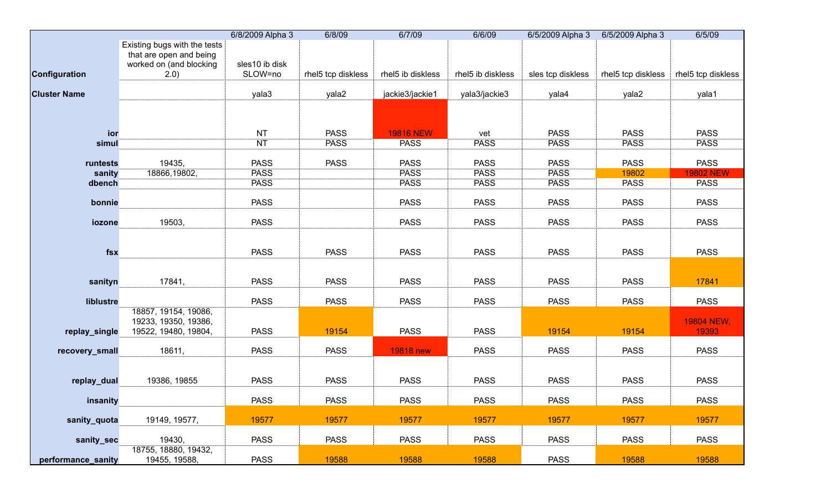|                     |                                                                                             | 6/8/2009 Alpha 3          | 6/8/09             | 6/7/09            | 6/6/09            |                   | 6/5/2009 Alpha 3 6/5/2009 Alpha 3 | 6/5/09              |
|---------------------|---------------------------------------------------------------------------------------------|---------------------------|--------------------|-------------------|-------------------|-------------------|-----------------------------------|---------------------|
| Configuration       | Existing bugs with the tests<br>that are open and being<br>worked on (and blocking<br>(2.0) | sles10 ib disk<br>SLOW=no | rhel5 tcp diskless | rhel5 ib diskless | rhel5 ib diskless | sles tcp diskless | rhel5 tcp diskless                | rhel5 tcp diskless  |
| <b>Cluster Name</b> |                                                                                             | yala3                     | yala2              | jackie3/jackie1   | yala3/jackie3     | yala4             | yala2                             | yala1               |
|                     |                                                                                             |                           |                    |                   |                   |                   |                                   |                     |
| ior                 |                                                                                             | <b>NT</b>                 | <b>PASS</b>        | <b>19816 NEW</b>  | vet               | <b>PASS</b>       | <b>PASS</b>                       | <b>PASS</b>         |
| simul               |                                                                                             | <b>NT</b>                 | <b>PASS</b>        | <b>PASS</b>       | <b>PASS</b>       | <b>PASS</b>       | <b>PASS</b>                       | <b>PASS</b>         |
| runtests            | 19435,                                                                                      | <b>PASS</b>               | <b>PASS</b>        | <b>PASS</b>       | <b>PASS</b>       | <b>PASS</b>       | <b>PASS</b>                       | <b>PASS</b>         |
| sanity              | 18866,19802,                                                                                | <b>PASS</b>               |                    | <b>PASS</b>       | <b>PASS</b>       | <b>PASS</b>       | 19802                             | <b>19802 NEW</b>    |
| dbench              |                                                                                             | <b>PASS</b>               |                    | <b>PASS</b>       | <b>PASS</b>       | <b>PASS</b>       | <b>PASS</b>                       | <b>PASS</b>         |
| bonnie              |                                                                                             | <b>PASS</b>               |                    | <b>PASS</b>       | <b>PASS</b>       | <b>PASS</b>       | <b>PASS</b>                       | <b>PASS</b>         |
| iozone              | 19503,                                                                                      | <b>PASS</b>               |                    | <b>PASS</b>       | <b>PASS</b>       | <b>PASS</b>       | <b>PASS</b>                       | <b>PASS</b>         |
| fsx                 |                                                                                             | <b>PASS</b>               | <b>PASS</b>        | <b>PASS</b>       | <b>PASS</b>       | <b>PASS</b>       | <b>PASS</b>                       | <b>PASS</b>         |
| sanityn             | 17841,                                                                                      | <b>PASS</b>               | <b>PASS</b>        | <b>PASS</b>       | <b>PASS</b>       | <b>PASS</b>       | <b>PASS</b>                       | 17841               |
| liblustre           |                                                                                             | <b>PASS</b>               | <b>PASS</b>        | <b>PASS</b>       | <b>PASS</b>       | <b>PASS</b>       | <b>PASS</b>                       | <b>PASS</b>         |
| replay_single       | 18857, 19154, 19086,<br>19233, 19350, 19386,<br>19522, 19480, 19804,                        | <b>PASS</b>               | 19154              | <b>PASS</b>       | <b>PASS</b>       | 19154             | 19154                             | 19804 NEW,<br>19393 |
| recovery_small      | 18611,                                                                                      | <b>PASS</b>               | <b>PASS</b>        | <b>19818 new</b>  | <b>PASS</b>       | <b>PASS</b>       | <b>PASS</b>                       | <b>PASS</b>         |
| replay_dual         | 19386, 19855                                                                                | <b>PASS</b>               | <b>PASS</b>        | <b>PASS</b>       | <b>PASS</b>       | <b>PASS</b>       | <b>PASS</b>                       | <b>PASS</b>         |
| insanity            |                                                                                             | <b>PASS</b>               | <b>PASS</b>        | <b>PASS</b>       | <b>PASS</b>       | <b>PASS</b>       | <b>PASS</b>                       | <b>PASS</b>         |
| sanity_quota        | 19149, 19577,                                                                               | 19577                     | 19577              | 19577             | 19577             | 19577             | 19577                             | 19577               |
| sanity_sec          | 19430,                                                                                      | <b>PASS</b>               | <b>PASS</b>        | <b>PASS</b>       | <b>PASS</b>       | <b>PASS</b>       | <b>PASS</b>                       | <b>PASS</b>         |
| performance_sanity  | 18755, 18880, 19432,<br>19455, 19588,                                                       | <b>PASS</b>               | 19588              | 19588             | 19588             | <b>PASS</b>       | 19588                             | 19588               |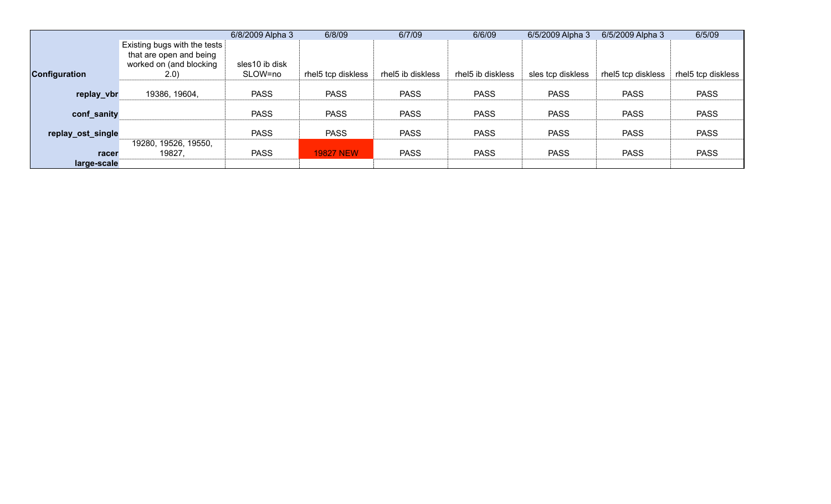|                      |                                                                                                           | 6/8/2009 Alpha 3          | 6/8/09             | 6/7/09            | 6/6/09            | 6/5/2009 Alpha 3  | 6/5/2009 Alpha 3   | 6/5/09             |
|----------------------|-----------------------------------------------------------------------------------------------------------|---------------------------|--------------------|-------------------|-------------------|-------------------|--------------------|--------------------|
| <b>Configuration</b> | $\mid$ Existing bugs with the tests $\mid$<br>that are open and being<br>worked on (and blocking<br>(2.0) | sles10 ib disk<br>SLOW=no | rhel5 tcp diskless | rhel5 ib diskless | rhel5 ib diskless | sles tcp diskless | rhel5 tcp diskless | rhel5 tcp diskless |
| replay_vbr           | 19386, 19604,                                                                                             | <b>PASS</b>               | <b>PASS</b>        | <b>PASS</b>       | <b>PASS</b>       | <b>PASS</b>       | <b>PASS</b>        | <b>PASS</b>        |
| conf_sanity          |                                                                                                           | <b>PASS</b>               | <b>PASS</b>        | <b>PASS</b>       | <b>PASS</b>       | <b>PASS</b>       | <b>PASS</b>        | <b>PASS</b>        |
| replay_ost_single    |                                                                                                           | <b>PASS</b>               | <b>PASS</b>        | <b>PASS</b>       | <b>PASS</b>       | <b>PASS</b>       | <b>PASS</b>        | <b>PASS</b>        |
| racer<br>large-scale | 19280, 19526, 19550,<br>19827,                                                                            | <b>PASS</b>               | <b>19827 NEW</b>   | <b>PASS</b>       | <b>PASS</b>       | <b>PASS</b>       | <b>PASS</b>        | <b>PASS</b>        |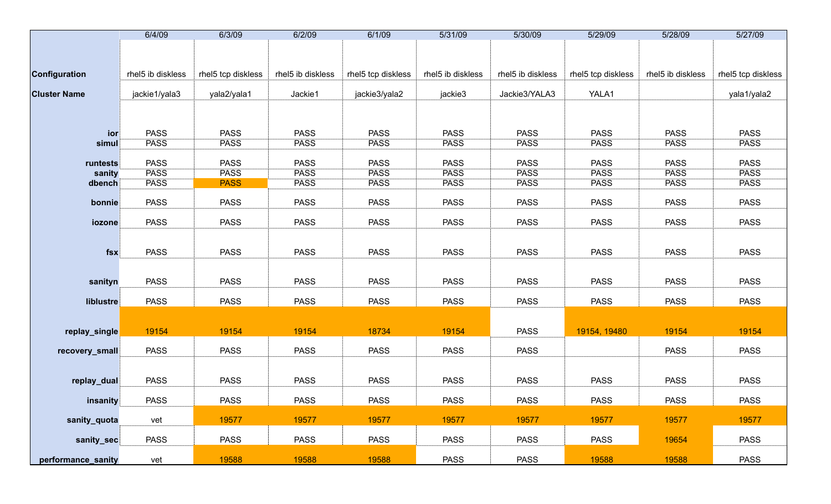|                     | 6/4/09            | 6/3/09             | 6/2/09            | 6/1/09             | 5/31/09           | 5/30/09           | 5/29/09            | 5/28/09           | 5/27/09            |
|---------------------|-------------------|--------------------|-------------------|--------------------|-------------------|-------------------|--------------------|-------------------|--------------------|
|                     |                   |                    |                   |                    |                   |                   |                    |                   |                    |
|                     |                   |                    |                   |                    |                   |                   |                    |                   |                    |
| Configuration       | rhel5 ib diskless | rhel5 tcp diskless | rhel5 ib diskless | rhel5 tcp diskless | rhel5 ib diskless | rhel5 ib diskless | rhel5 tcp diskless | rhel5 ib diskless | rhel5 tcp diskless |
| <b>Cluster Name</b> | jackie1/yala3     | yala2/yala1        | Jackie1           | jackie3/yala2      | jackie3           | Jackie3/YALA3     | YALA1              |                   | yala1/yala2        |
|                     |                   |                    |                   |                    |                   |                   |                    |                   |                    |
|                     |                   |                    |                   |                    |                   |                   |                    |                   |                    |
| ior                 | <b>PASS</b>       | <b>PASS</b>        | <b>PASS</b>       | <b>PASS</b>        | <b>PASS</b>       | <b>PASS</b>       | <b>PASS</b>        | <b>PASS</b>       | <b>PASS</b>        |
| simul               | <b>PASS</b>       | <b>PASS</b>        | <b>PASS</b>       | <b>PASS</b>        | <b>PASS</b>       | <b>PASS</b>       | <b>PASS</b>        | <b>PASS</b>       | <b>PASS</b>        |
| runtests            | <b>PASS</b>       | <b>PASS</b>        | <b>PASS</b>       | <b>PASS</b>        | <b>PASS</b>       | <b>PASS</b>       | <b>PASS</b>        | <b>PASS</b>       | <b>PASS</b>        |
| sanity              | <b>PASS</b>       | <b>PASS</b>        | <b>PASS</b>       | <b>PASS</b>        | <b>PASS</b>       | <b>PASS</b>       | <b>PASS</b>        | <b>PASS</b>       | <b>PASS</b>        |
| dbench              | <b>PASS</b>       | <b>PASS</b>        | <b>PASS</b>       | <b>PASS</b>        | <b>PASS</b>       | <b>PASS</b>       | <b>PASS</b>        | <b>PASS</b>       | <b>PASS</b>        |
| bonnie              | <b>PASS</b>       | <b>PASS</b>        | <b>PASS</b>       | <b>PASS</b>        | <b>PASS</b>       | <b>PASS</b>       | <b>PASS</b>        | <b>PASS</b>       | <b>PASS</b>        |
| iozone              | <b>PASS</b>       | <b>PASS</b>        | <b>PASS</b>       | <b>PASS</b>        | <b>PASS</b>       | <b>PASS</b>       | <b>PASS</b>        | <b>PASS</b>       | <b>PASS</b>        |
|                     |                   |                    |                   |                    |                   |                   |                    |                   |                    |
| $f$ sx              | <b>PASS</b>       | <b>PASS</b>        | <b>PASS</b>       | <b>PASS</b>        | <b>PASS</b>       | <b>PASS</b>       | <b>PASS</b>        | <b>PASS</b>       | <b>PASS</b>        |
|                     |                   |                    |                   |                    |                   |                   |                    |                   |                    |
| sanityn             | <b>PASS</b>       | <b>PASS</b>        | <b>PASS</b>       | <b>PASS</b>        | <b>PASS</b>       | <b>PASS</b>       | <b>PASS</b>        | <b>PASS</b>       | <b>PASS</b>        |
|                     |                   |                    |                   |                    |                   |                   |                    |                   |                    |
| liblustre           | <b>PASS</b>       | <b>PASS</b>        | <b>PASS</b>       | <b>PASS</b>        | <b>PASS</b>       | <b>PASS</b>       | <b>PASS</b>        | <b>PASS</b>       | <b>PASS</b>        |
|                     |                   |                    |                   |                    |                   |                   |                    |                   |                    |
| replay_single       | 19154             | 19154              | 19154             | 18734              | 19154             | <b>PASS</b>       | 19154, 19480       | 19154             | 19154              |
| recovery_small      | <b>PASS</b>       | <b>PASS</b>        | <b>PASS</b>       | <b>PASS</b>        | <b>PASS</b>       | <b>PASS</b>       |                    | <b>PASS</b>       | <b>PASS</b>        |
|                     |                   |                    |                   |                    |                   |                   |                    |                   |                    |
| replay_dual         | <b>PASS</b>       | <b>PASS</b>        | <b>PASS</b>       | <b>PASS</b>        | <b>PASS</b>       | <b>PASS</b>       | <b>PASS</b>        | <b>PASS</b>       | <b>PASS</b>        |
| insanity            | <b>PASS</b>       |                    |                   |                    |                   |                   |                    |                   |                    |
|                     |                   | <b>PASS</b>        | <b>PASS</b>       | PASS               | <b>PASS</b>       | PASS              | PASS               | <b>PASS</b>       | <b>PASS</b>        |
| sanity_quota        | vet               | 19577              | 19577             | 19577              | 19577             | 19577             | 19577              | 19577             | 19577              |
| sanity_sec          | <b>PASS</b>       | <b>PASS</b>        | <b>PASS</b>       | <b>PASS</b>        | <b>PASS</b>       | <b>PASS</b>       | <b>PASS</b>        | 19654             | <b>PASS</b>        |
| performance_sanity  | vet               | 19588              | 19588             | 19588              | <b>PASS</b>       | <b>PASS</b>       | 19588              | 19588             | <b>PASS</b>        |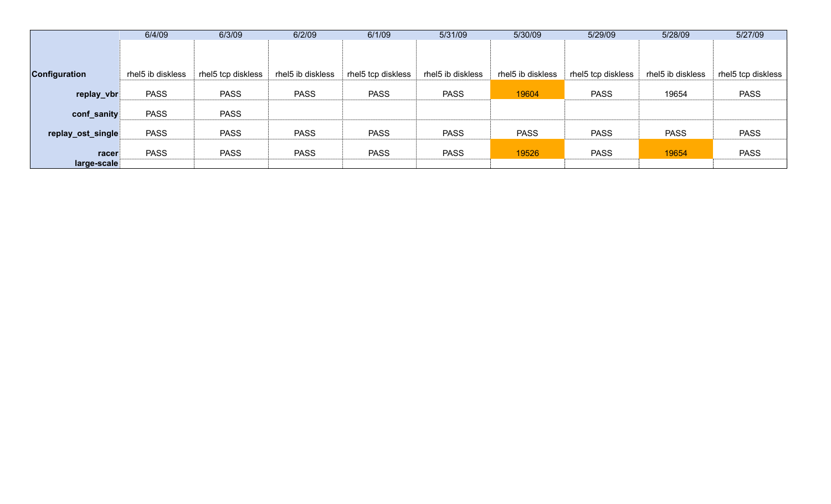|                      | 6/4/09            | 6/3/09             | 6/2/09            | 6/1/09             | 5/31/09           | 5/30/09           | 5/29/09            | 5/28/09           | 5/27/09            |
|----------------------|-------------------|--------------------|-------------------|--------------------|-------------------|-------------------|--------------------|-------------------|--------------------|
|                      |                   |                    |                   |                    |                   |                   |                    |                   |                    |
|                      |                   |                    |                   |                    |                   |                   |                    |                   |                    |
| <b>Configuration</b> | rhel5 ib diskless | rhel5 tcp diskless | rhel5 ib diskless | rhel5 tcp diskless | rhel5 ib diskless | rhel5 ib diskless | rhel5 tcp diskless | rhel5 ib diskless | rhel5 tcp diskless |
| replay_vbr           | <b>PASS</b>       | <b>PASS</b>        | <b>PASS</b>       | <b>PASS</b>        | <b>PASS</b>       | 19604             | <b>PASS</b>        | 19654             | <b>PASS</b>        |
| conf_sanity          | <b>PASS</b>       | <b>PASS</b>        |                   |                    |                   |                   |                    |                   |                    |
| replay_ost_single    | <b>PASS</b>       | <b>PASS</b>        | <b>PASS</b>       | <b>PASS</b>        | <b>PASS</b>       | <b>PASS</b>       | <b>PASS</b>        | <b>PASS</b>       | <b>PASS</b>        |
| racer                | <b>PASS</b>       | <b>PASS</b>        | <b>PASS</b>       | <b>PASS</b>        | <b>PASS</b>       | 19526             | <b>PASS</b>        | 19654             | <b>PASS</b>        |
| large-scale          |                   |                    |                   |                    |                   |                   |                    |                   |                    |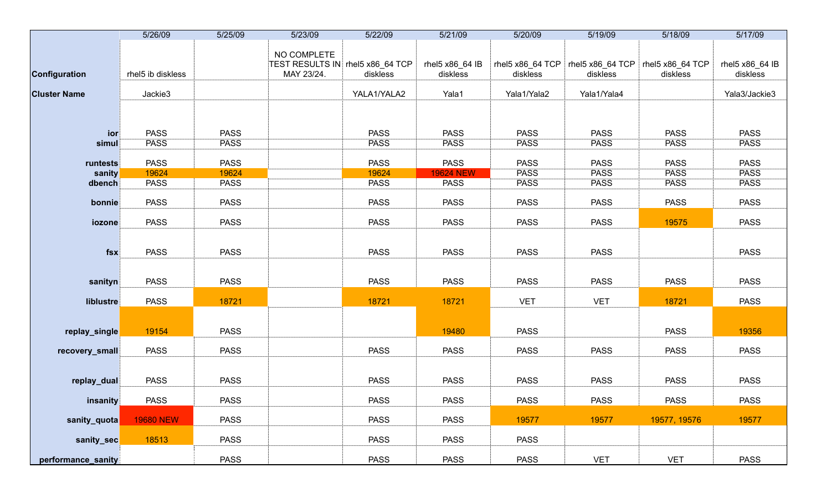|                     | 5/26/09           | 5/25/09     | 5/23/09                                                       | 5/22/09     | 5/21/09                     | 5/20/09                      | 5/19/09                      | 5/18/09                      | 5/17/09                     |
|---------------------|-------------------|-------------|---------------------------------------------------------------|-------------|-----------------------------|------------------------------|------------------------------|------------------------------|-----------------------------|
| Configuration       | rhel5 ib diskless |             | NO COMPLETE<br>TEST RESULTS IN rhel5 x86_64 TCP<br>MAY 23/24. | diskless    | rhel5 x86_64 IB<br>diskless | rhel5 x86_64 TCP<br>diskless | rhel5 x86_64 TCP<br>diskless | rhel5 x86_64 TCP<br>diskless | rhel5 x86_64 IB<br>diskless |
| <b>Cluster Name</b> | Jackie3           |             |                                                               | YALA1/YALA2 | Yala1                       | Yala1/Yala2                  | Yala1/Yala4                  |                              | Yala3/Jackie3               |
|                     |                   |             |                                                               |             |                             |                              |                              |                              |                             |
|                     |                   |             |                                                               |             |                             |                              |                              |                              |                             |
| ior                 | <b>PASS</b>       | <b>PASS</b> |                                                               | <b>PASS</b> | <b>PASS</b>                 | <b>PASS</b>                  | <b>PASS</b>                  | <b>PASS</b>                  | <b>PASS</b>                 |
| simul               | <b>PASS</b>       | <b>PASS</b> |                                                               | <b>PASS</b> | <b>PASS</b>                 | <b>PASS</b>                  | <b>PASS</b>                  | <b>PASS</b>                  | <b>PASS</b>                 |
| runtests            | <b>PASS</b>       | <b>PASS</b> |                                                               | <b>PASS</b> | <b>PASS</b>                 | <b>PASS</b>                  | <b>PASS</b>                  | <b>PASS</b>                  | <b>PASS</b>                 |
| sanity              | 19624             | 19624       |                                                               | 19624       | <b>19624 NEW</b>            | <b>PASS</b>                  | <b>PASS</b>                  | <b>PASS</b>                  | <b>PASS</b>                 |
| dbench              | <b>PASS</b>       | <b>PASS</b> |                                                               | <b>PASS</b> | <b>PASS</b>                 | <b>PASS</b>                  | <b>PASS</b>                  | <b>PASS</b>                  | <b>PASS</b>                 |
| bonnie              | <b>PASS</b>       | <b>PASS</b> |                                                               | <b>PASS</b> | <b>PASS</b>                 | <b>PASS</b>                  | <b>PASS</b>                  | <b>PASS</b>                  | <b>PASS</b>                 |
| iozone              | <b>PASS</b>       | <b>PASS</b> |                                                               | <b>PASS</b> | <b>PASS</b>                 | <b>PASS</b>                  | <b>PASS</b>                  | 19575                        | <b>PASS</b>                 |
|                     |                   |             |                                                               |             |                             |                              |                              |                              |                             |
| fsx                 | <b>PASS</b>       | <b>PASS</b> |                                                               | <b>PASS</b> | <b>PASS</b>                 | <b>PASS</b>                  | <b>PASS</b>                  |                              | <b>PASS</b>                 |
|                     |                   |             |                                                               |             |                             |                              |                              |                              |                             |
| sanityn             | <b>PASS</b>       | <b>PASS</b> |                                                               | <b>PASS</b> | <b>PASS</b>                 | <b>PASS</b>                  | <b>PASS</b>                  | <b>PASS</b>                  | <b>PASS</b>                 |
| liblustre           | <b>PASS</b>       | 18721       |                                                               | 18721       | 18721                       | <b>VET</b>                   | <b>VET</b>                   | 18721                        | <b>PASS</b>                 |
|                     |                   |             |                                                               |             |                             |                              |                              |                              |                             |
| replay_single       | 19154             | <b>PASS</b> |                                                               |             | 19480                       | <b>PASS</b>                  |                              | <b>PASS</b>                  | 19356                       |
| recovery_small      | <b>PASS</b>       | <b>PASS</b> |                                                               | <b>PASS</b> | <b>PASS</b>                 | <b>PASS</b>                  | <b>PASS</b>                  | <b>PASS</b>                  | <b>PASS</b>                 |
|                     |                   |             |                                                               |             |                             |                              |                              |                              |                             |
| replay_dual         | <b>PASS</b>       | <b>PASS</b> |                                                               | <b>PASS</b> | <b>PASS</b>                 | <b>PASS</b>                  | <b>PASS</b>                  | <b>PASS</b>                  | <b>PASS</b>                 |
| insanity            | <b>PASS</b>       | <b>PASS</b> |                                                               | <b>PASS</b> | <b>PASS</b>                 | <b>PASS</b>                  | <b>PASS</b>                  | <b>PASS</b>                  | <b>PASS</b>                 |
| sanity_quota        | <b>19680 NEW</b>  | <b>PASS</b> |                                                               | <b>PASS</b> | <b>PASS</b>                 | 19577                        | 19577                        | 19577, 19576                 | 19577                       |
| sanity_sec          | 18513             | <b>PASS</b> |                                                               | <b>PASS</b> | <b>PASS</b>                 | <b>PASS</b>                  |                              |                              |                             |
|                     |                   |             |                                                               |             |                             |                              |                              |                              |                             |
| performance_sanity  |                   | <b>PASS</b> |                                                               | <b>PASS</b> | <b>PASS</b>                 | <b>PASS</b>                  | <b>VET</b>                   | <b>VET</b>                   | <b>PASS</b>                 |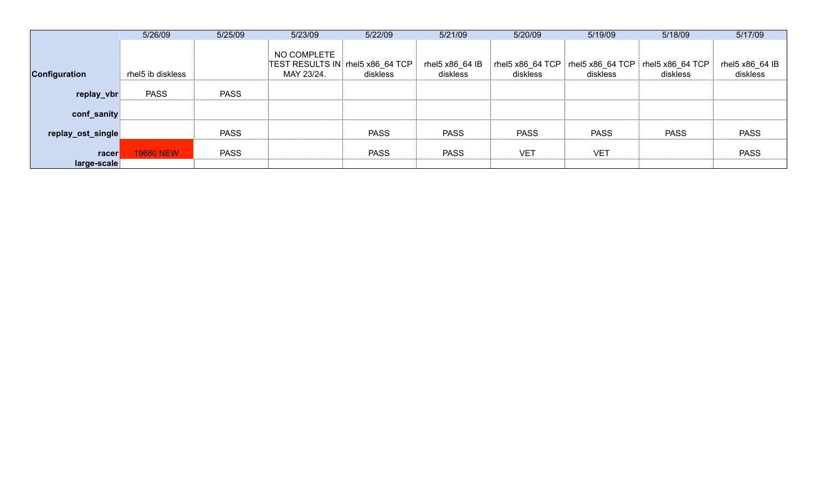|                      | 5/26/09           | 5/25/09     | 5/23/09                   | 5/22/09                                      | 5/21/09                     | 5/20/09                      | 5/19/09                        | 5/18/09                      | 5/17/09                     |
|----------------------|-------------------|-------------|---------------------------|----------------------------------------------|-----------------------------|------------------------------|--------------------------------|------------------------------|-----------------------------|
| Configuration        | rhel5 ib diskless |             | NO COMPLETE<br>MAY 23/24. | TEST RESULTS IN rhel5 x86_64 TCP<br>diskless | rhel5 x86_64 IB<br>diskless | rhel5 x86_64 TCP<br>diskless | rhel5 $x86$ 64 TCP<br>diskless | rhel5 x86_64 TCP<br>diskless | rhel5 x86_64 IB<br>diskless |
| replay_vbr           | <b>PASS</b>       | <b>PASS</b> |                           |                                              |                             |                              |                                |                              |                             |
| conf_sanity          |                   |             |                           |                                              |                             |                              |                                |                              |                             |
| replay_ost_single    |                   | <b>PASS</b> |                           | <b>PASS</b>                                  | <b>PASS</b>                 | <b>PASS</b>                  | <b>PASS</b>                    | <b>PASS</b>                  | <b>PASS</b>                 |
| racer<br>large-scale | <b>19680 NEW</b>  | <b>PASS</b> |                           | <b>PASS</b>                                  | <b>PASS</b>                 | <b>VET</b>                   | <b>VET</b>                     |                              | <b>PASS</b>                 |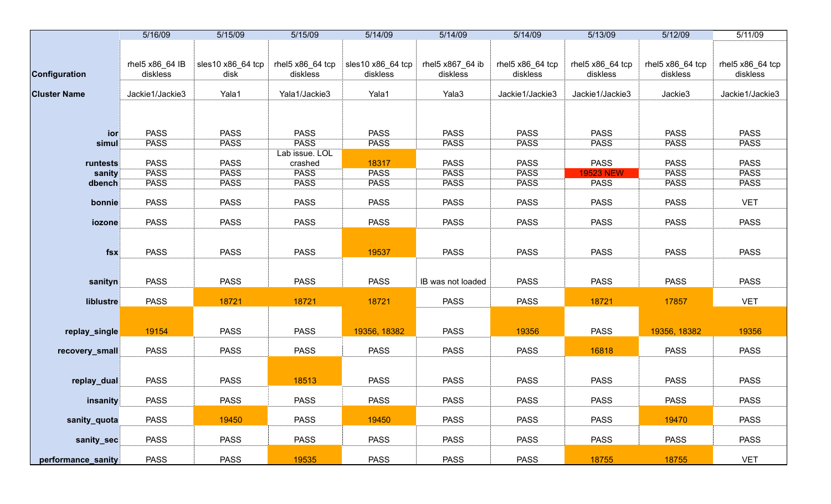|                     | 5/16/09                     | 5/15/09                   | 5/15/09                       | 5/14/09                       | 5/14/09                      | 5/14/09                      | 5/13/09                      | 5/12/09                      | 5/11/09                      |
|---------------------|-----------------------------|---------------------------|-------------------------------|-------------------------------|------------------------------|------------------------------|------------------------------|------------------------------|------------------------------|
|                     |                             |                           |                               |                               |                              |                              |                              |                              |                              |
|                     |                             |                           |                               |                               |                              |                              |                              |                              |                              |
| Configuration       | rhel5 x86_64 IB<br>diskless | sles10 x86_64 tcp<br>disk | rhel5 x86_64 tcp<br>diskless  | sles10 x86_64 tcp<br>diskless | rhel5 x867_64 ib<br>diskless | rhel5 x86_64 tcp<br>diskless | rhel5 x86_64 tcp<br>diskless | rhel5 x86_64 tcp<br>diskless | rhel5 x86_64 tcp<br>diskless |
|                     |                             |                           |                               |                               |                              |                              |                              |                              |                              |
| <b>Cluster Name</b> | Jackie1/Jackie3             | Yala1                     | Yala1/Jackie3                 | Yala1                         | Yala3                        | Jackie1/Jackie3              | Jackie1/Jackie3              | Jackie3                      | Jackie1/Jackie3              |
|                     |                             |                           |                               |                               |                              |                              |                              |                              |                              |
|                     |                             |                           |                               |                               |                              |                              |                              |                              |                              |
|                     |                             |                           |                               |                               |                              |                              |                              |                              |                              |
| ior                 | <b>PASS</b>                 | <b>PASS</b>               | <b>PASS</b>                   | <b>PASS</b>                   | <b>PASS</b>                  | <b>PASS</b>                  | <b>PASS</b>                  | <b>PASS</b>                  | <b>PASS</b>                  |
| simul               | <b>PASS</b>                 | <b>PASS</b>               | <b>PASS</b><br>Lab issue. LOL | <b>PASS</b>                   | <b>PASS</b>                  | <b>PASS</b>                  | <b>PASS</b>                  | <b>PASS</b>                  | <b>PASS</b>                  |
| runtests            | <b>PASS</b>                 | <b>PASS</b>               | crashed                       | 18317                         | <b>PASS</b>                  | <b>PASS</b>                  | <b>PASS</b>                  | <b>PASS</b>                  | <b>PASS</b>                  |
| sanity              | <b>PASS</b>                 | <b>PASS</b>               | <b>PASS</b>                   | <b>PASS</b>                   | <b>PASS</b>                  | <b>PASS</b>                  | <b>19523 NEW</b>             | <b>PASS</b>                  | <b>PASS</b>                  |
| dbench              | <b>PASS</b>                 | <b>PASS</b>               | <b>PASS</b>                   | <b>PASS</b>                   | <b>PASS</b>                  | <b>PASS</b>                  | <b>PASS</b>                  | <b>PASS</b>                  | <b>PASS</b>                  |
|                     |                             |                           |                               |                               |                              |                              |                              |                              |                              |
| bonnie              | <b>PASS</b>                 | <b>PASS</b>               | <b>PASS</b>                   | <b>PASS</b>                   | <b>PASS</b>                  | <b>PASS</b>                  | <b>PASS</b>                  | <b>PASS</b>                  | <b>VET</b>                   |
|                     |                             |                           |                               |                               |                              |                              |                              |                              |                              |
| iozone              | <b>PASS</b>                 | <b>PASS</b>               | <b>PASS</b>                   | <b>PASS</b>                   | <b>PASS</b>                  | <b>PASS</b>                  | <b>PASS</b>                  | <b>PASS</b>                  | <b>PASS</b>                  |
|                     |                             |                           |                               |                               |                              |                              |                              |                              |                              |
|                     |                             |                           |                               |                               |                              |                              |                              |                              |                              |
| $f$ sx              | <b>PASS</b>                 | <b>PASS</b>               | <b>PASS</b>                   | 19537                         | <b>PASS</b>                  | <b>PASS</b>                  | <b>PASS</b>                  | <b>PASS</b>                  | <b>PASS</b>                  |
|                     |                             |                           |                               |                               |                              |                              |                              |                              |                              |
| sanityn             | <b>PASS</b>                 | <b>PASS</b>               | <b>PASS</b>                   | <b>PASS</b>                   | IB was not loaded            | <b>PASS</b>                  | <b>PASS</b>                  | <b>PASS</b>                  | <b>PASS</b>                  |
|                     |                             |                           |                               |                               |                              |                              |                              |                              |                              |
| liblustre           | <b>PASS</b>                 | 18721                     | 18721                         | 18721                         | <b>PASS</b>                  | <b>PASS</b>                  | 18721                        | 17857                        | <b>VET</b>                   |
|                     |                             |                           |                               |                               |                              |                              |                              |                              |                              |
|                     |                             |                           |                               |                               |                              |                              |                              |                              |                              |
| replay_single       | 19154                       | <b>PASS</b>               | <b>PASS</b>                   | 19356, 18382                  | <b>PASS</b>                  | 19356                        | <b>PASS</b>                  | 19356, 18382                 | 19356                        |
| recovery_small      | <b>PASS</b>                 | <b>PASS</b>               | <b>PASS</b>                   | <b>PASS</b>                   | <b>PASS</b>                  | <b>PASS</b>                  | 16818                        | <b>PASS</b>                  | <b>PASS</b>                  |
|                     |                             |                           |                               |                               |                              |                              |                              |                              |                              |
|                     |                             |                           |                               |                               |                              |                              |                              |                              |                              |
| replay_dual         | <b>PASS</b>                 | <b>PASS</b>               | 18513                         | <b>PASS</b>                   | <b>PASS</b>                  | <b>PASS</b>                  | <b>PASS</b>                  | <b>PASS</b>                  | <b>PASS</b>                  |
|                     |                             |                           |                               |                               |                              |                              |                              |                              |                              |
| insanity            | <b>PASS</b>                 | <b>PASS</b>               | <b>PASS</b>                   | <b>PASS</b>                   | <b>PASS</b>                  | <b>PASS</b>                  | <b>PASS</b>                  | <b>PASS</b>                  | <b>PASS</b>                  |
|                     |                             |                           |                               |                               |                              |                              |                              |                              |                              |
| sanity_quota        | <b>PASS</b>                 | 19450                     | <b>PASS</b>                   | 19450                         | <b>PASS</b>                  | <b>PASS</b>                  | <b>PASS</b>                  | 19470                        | <b>PASS</b>                  |
| sanity_sec          | <b>PASS</b>                 | <b>PASS</b>               | <b>PASS</b>                   | <b>PASS</b>                   | <b>PASS</b>                  | <b>PASS</b>                  | <b>PASS</b>                  | <b>PASS</b>                  | <b>PASS</b>                  |
|                     |                             |                           |                               |                               |                              |                              |                              |                              |                              |
| performance_sanity  | <b>PASS</b>                 | <b>PASS</b>               | 19535                         | <b>PASS</b>                   | <b>PASS</b>                  | <b>PASS</b>                  | 18755                        | 18755                        | <b>VET</b>                   |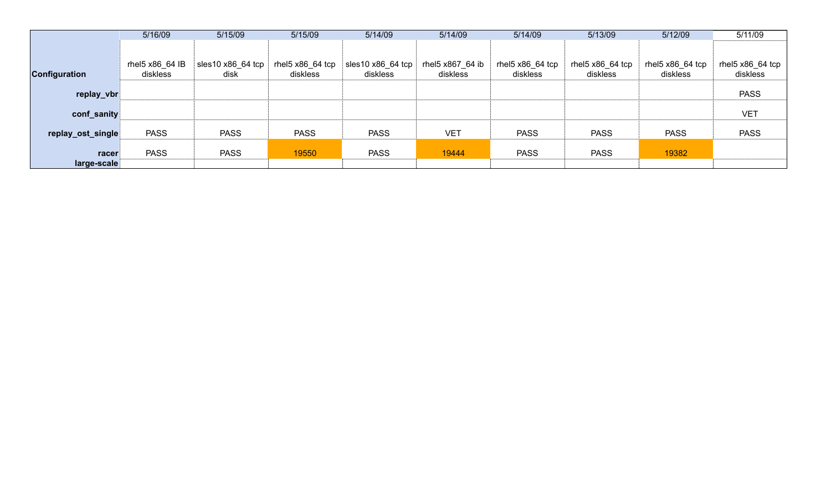|                      | 5/16/09                     | 5/15/09                   | 5/15/09                      | 5/14/09                       | 5/14/09                      | 5/14/09                      | 5/13/09                                   | 5/12/09                                   | 5/11/09                                   |
|----------------------|-----------------------------|---------------------------|------------------------------|-------------------------------|------------------------------|------------------------------|-------------------------------------------|-------------------------------------------|-------------------------------------------|
|                      |                             |                           |                              |                               |                              |                              |                                           |                                           |                                           |
| <b>Configuration</b> | rhel5 x86 64 IB<br>diskless | sles10 x86_64 tcp<br>disk | rhel5 x86_64 tcp<br>diskless | sles10 x86_64 tcp<br>diskless | rhel5 x867_64 ib<br>diskless | rhel5 x86_64 tcp<br>diskless | rhel5 $x86$ <sub>64</sub> tcp<br>diskless | rhel5 $x86$ <sub>64</sub> tcp<br>diskless | rhel5 $x86$ <sub>64</sub> tcp<br>diskless |
| replay_vbr           |                             |                           |                              |                               |                              |                              |                                           |                                           | <b>PASS</b>                               |
| conf_sanity          |                             |                           |                              |                               |                              |                              |                                           |                                           | <b>VET</b>                                |
| replay_ost_single    | <b>PASS</b>                 | <b>PASS</b>               | <b>PASS</b>                  | <b>PASS</b>                   | <b>VET</b>                   | <b>PASS</b>                  | <b>PASS</b>                               | <b>PASS</b>                               | <b>PASS</b>                               |
| racer                | <b>PASS</b>                 | <b>PASS</b>               | 19550                        | <b>PASS</b>                   | 19444                        | <b>PASS</b>                  | <b>PASS</b>                               | 19382                                     |                                           |
| large-scale          |                             |                           |                              |                               |                              |                              |                                           |                                           |                                           |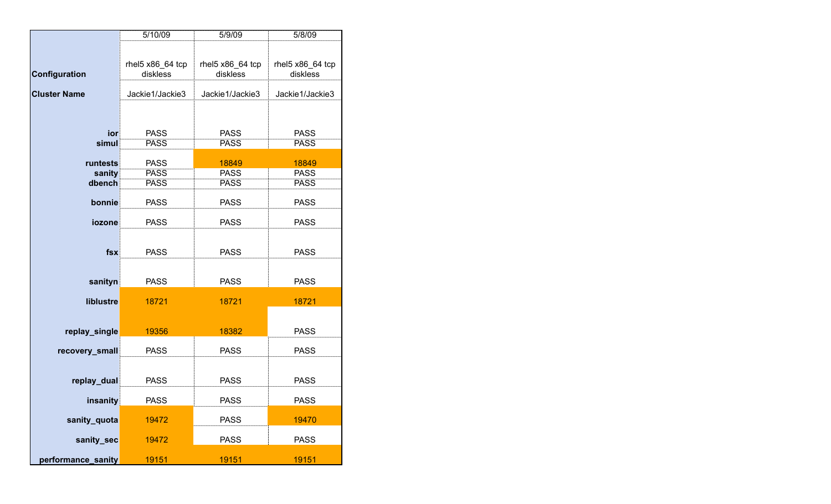|                     | 5/10/09                      | 5/9/09                       | 5/8/09                       |
|---------------------|------------------------------|------------------------------|------------------------------|
|                     |                              |                              |                              |
|                     |                              |                              |                              |
| Configuration       | rhel5 x86_64 tcp<br>diskless | rhel5 x86_64 tcp<br>diskless | rhel5 x86_64 tcp<br>diskless |
|                     |                              |                              |                              |
| <b>Cluster Name</b> | Jackie1/Jackie3              | Jackie1/Jackie3              | Jackie1/Jackie3              |
|                     |                              |                              |                              |
|                     |                              |                              |                              |
| ior                 | <b>PASS</b>                  | <b>PASS</b>                  | <b>PASS</b>                  |
| simul               | <b>PASS</b>                  | <b>PASS</b>                  | <b>PASS</b>                  |
|                     |                              |                              |                              |
| runtests            | <b>PASS</b>                  | 18849                        | 18849                        |
| sanity              | <b>PASS</b>                  | <b>PASS</b>                  | <b>PASS</b>                  |
| dbench              | <b>PASS</b>                  | <b>PASS</b>                  | <b>PASS</b>                  |
| bonnie              | <b>PASS</b>                  | <b>PASS</b>                  | <b>PASS</b>                  |
|                     |                              |                              |                              |
| iozone              | <b>PASS</b>                  | <b>PASS</b>                  | <b>PASS</b>                  |
|                     |                              |                              |                              |
|                     |                              |                              |                              |
| fsx                 | <b>PASS</b>                  | <b>PASS</b>                  | <b>PASS</b>                  |
|                     |                              |                              |                              |
| sanityn             | <b>PASS</b>                  | <b>PASS</b>                  | <b>PASS</b>                  |
|                     |                              |                              |                              |
| liblustre           | 18721                        | 18721                        | 18721                        |
|                     |                              |                              |                              |
| replay_single       | 19356                        | 18382                        | <b>PASS</b>                  |
|                     |                              |                              |                              |
| recovery_small      | <b>PASS</b>                  | <b>PASS</b>                  | <b>PASS</b>                  |
|                     |                              |                              |                              |
| replay_dual         | <b>PASS</b>                  | <b>PASS</b>                  | <b>PASS</b>                  |
|                     |                              |                              |                              |
| insanity            | <b>PASS</b>                  | <b>PASS</b>                  | <b>PASS</b>                  |
|                     |                              |                              |                              |
| sanity_quota        | 19472                        | <b>PASS</b>                  | 19470                        |
| sanity_sec          | 19472                        | <b>PASS</b>                  | <b>PASS</b>                  |
|                     |                              |                              |                              |
| performance_sanity  | 19151                        | 19151                        | 19151                        |